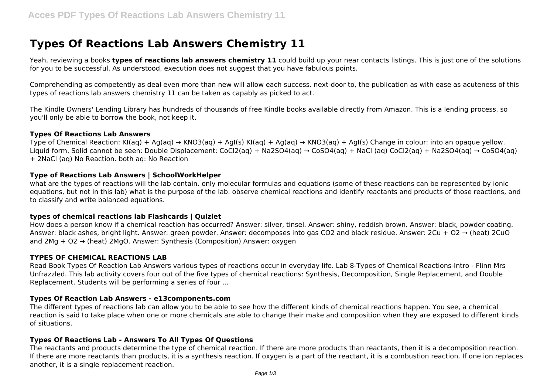# **Types Of Reactions Lab Answers Chemistry 11**

Yeah, reviewing a books **types of reactions lab answers chemistry 11** could build up your near contacts listings. This is just one of the solutions for you to be successful. As understood, execution does not suggest that you have fabulous points.

Comprehending as competently as deal even more than new will allow each success. next-door to, the publication as with ease as acuteness of this types of reactions lab answers chemistry 11 can be taken as capably as picked to act.

The Kindle Owners' Lending Library has hundreds of thousands of free Kindle books available directly from Amazon. This is a lending process, so you'll only be able to borrow the book, not keep it.

#### **Types Of Reactions Lab Answers**

Type of Chemical Reaction: KI(aq) + Ag(aq) → KNO3(aq) + AgI(s) KI(aq) + Ag(aq) → KNO3(aq) + AgI(s) Change in colour: into an opaque yellow. Liquid form. Solid cannot be seen: Double Displacement: CoCl2(aq) + Na2SO4(aq)  $\rightarrow$  CoSO4(aq) + NaCl (aq) CoCl2(aq) + Na2SO4(aq)  $\rightarrow$  CoSO4(aq) + 2NaCl (aq) No Reaction. both aq: No Reaction

### **Type of Reactions Lab Answers | SchoolWorkHelper**

what are the types of reactions will the lab contain. only molecular formulas and equations (some of these reactions can be represented by ionic equations, but not in this lab) what is the purpose of the lab. observe chemical reactions and identify reactants and products of those reactions, and to classify and write balanced equations.

### **types of chemical reactions lab Flashcards | Quizlet**

How does a person know if a chemical reaction has occurred? Answer: silver, tinsel. Answer: shiny, reddish brown. Answer: black, powder coating. Answer: black ashes, bright light. Answer: green powder. Answer: decomposes into gas CO2 and black residue. Answer: 2Cu + O2 → (heat) 2CuO and 2Mg + O2 → (heat) 2MgO. Answer: Synthesis (Composition) Answer: oxygen

### **TYPES OF CHEMICAL REACTIONS LAB**

Read Book Types Of Reaction Lab Answers various types of reactions occur in everyday life. Lab 8-Types of Chemical Reactions-Intro - Flinn Mrs Unfrazzled. This lab activity covers four out of the five types of chemical reactions: Synthesis, Decomposition, Single Replacement, and Double Replacement. Students will be performing a series of four ...

#### **Types Of Reaction Lab Answers - e13components.com**

The different types of reactions lab can allow you to be able to see how the different kinds of chemical reactions happen. You see, a chemical reaction is said to take place when one or more chemicals are able to change their make and composition when they are exposed to different kinds of situations.

### **Types Of Reactions Lab - Answers To All Types Of Questions**

The reactants and products determine the type of chemical reaction. If there are more products than reactants, then it is a decomposition reaction. If there are more reactants than products, it is a synthesis reaction. If oxygen is a part of the reactant, it is a combustion reaction. If one ion replaces another, it is a single replacement reaction.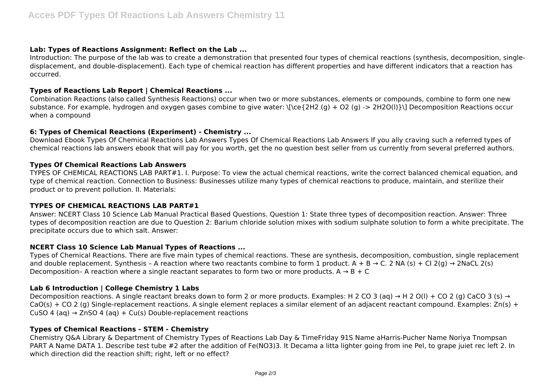# **Lab: Types of Reactions Assignment: Reflect on the Lab ...**

Introduction: The purpose of the lab was to create a demonstration that presented four types of chemical reactions (synthesis, decomposition, singledisplacement, and double-displacement). Each type of chemical reaction has different properties and have different indicators that a reaction has occurred.

## **Types of Reactions Lab Report | Chemical Reactions ...**

Combination Reactions (also called Synthesis Reactions) occur when two or more substances, elements or compounds, combine to form one new substance. For example, hydrogen and oxygen gases combine to give water: \[\ce{2H2 (g) + O2 (g) -> 2H2O(l)}\] Decomposition Reactions occur when a compound

# **6: Types of Chemical Reactions (Experiment) - Chemistry ...**

Download Ebook Types Of Chemical Reactions Lab Answers Types Of Chemical Reactions Lab Answers If you ally craving such a referred types of chemical reactions lab answers ebook that will pay for you worth, get the no question best seller from us currently from several preferred authors.

## **Types Of Chemical Reactions Lab Answers**

TYPES OF CHEMICAL REACTIONS LAB PART#1. I. Purpose: To view the actual chemical reactions, write the correct balanced chemical equation, and type of chemical reaction. Connection to Business: Businesses utilize many types of chemical reactions to produce, maintain, and sterilize their product or to prevent pollution. II. Materials:

# **TYPES OF CHEMICAL REACTIONS LAB PART#1**

Answer: NCERT Class 10 Science Lab Manual Practical Based Questions. Question 1: State three types of decomposition reaction. Answer: Three types of decomposition reaction are due to Question 2: Barium chloride solution mixes with sodium sulphate solution to form a white precipitate. The precipitate occurs due to which salt. Answer:

# **NCERT Class 10 Science Lab Manual Types of Reactions ...**

Types of Chemical Reactions. There are five main types of chemical reactions. These are synthesis, decomposition, combustion, single replacement and double replacement. Synthesis - A reaction where two reactants combine to form 1 product. A + B  $\rightarrow$  C. 2 NA (s) + CI 2(g)  $\rightarrow$  2NaCL 2(s) Decomposition- A reaction where a single reactant separates to form two or more products.  $A \rightarrow B + C$ 

# **Lab 6 Introduction | College Chemistry 1 Labs**

Decomposition reactions. A single reactant breaks down to form 2 or more products. Examples: H 2 CO 3 (aq)  $\rightarrow$  H 2 O(I) + CO 2 (g) CaCO 3 (s)  $\rightarrow$  $CoO(s) + CO2$  (g) Single-replacement reactions. A single element replaces a similar element of an adjacent reactant compound. Examples:  $Zn(s) +$ CuSO 4 (aq)  $\rightarrow$  ZnSO 4 (aq) + Cu(s) Double-replacement reactions

# **Types of Chemical Reactions - STEM - Chemistry**

Chemistry Q&A Library & Department of Chemistry Types of Reactions Lab Day & TimeFriday 91S Name aHarris-Pucher Name Noriya Tnompsan PART A Name DATA 1. Describe test tube #2 after the addition of Fe(NO3)3. It Decama a litta lighter going from ine Pel, to grape juiet rec left 2. In which direction did the reaction shift; right, left or no effect?